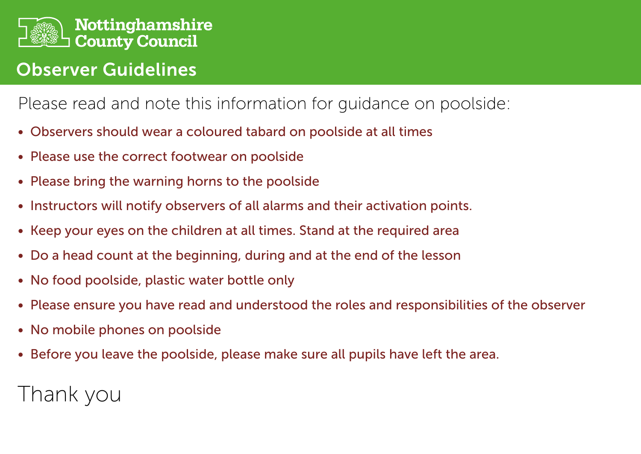

## Observer Guidelines

## Please read and note this information for guidance on poolside:

- Observers should wear a coloured tabard on poolside at all times
- Please use the correct footwear on poolside
- Please bring the warning horns to the poolside
- Instructors will notify observers of all alarms and their activation points.
- Keep your eyes on the children at all times. Stand at the required area
- Do a head count at the beginning, during and at the end of the lesson
- No food poolside, plastic water bottle only
- Please ensure you have read and understood the roles and responsibilities of the observer
- No mobile phones on poolside
- Before you leave the poolside, please make sure all pupils have left the area.

# Thank you